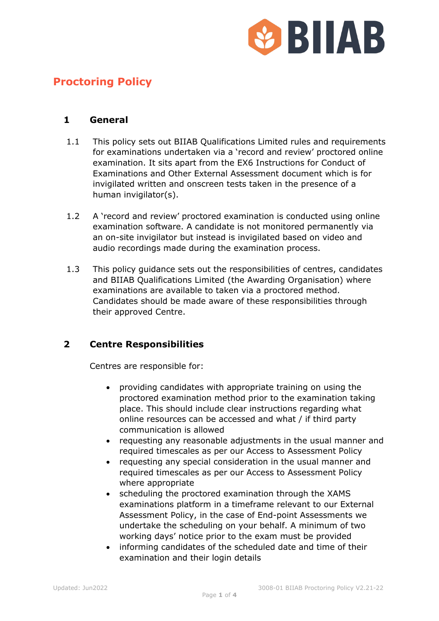

# **Proctoring Policy**

#### **1 General**

- 1.1 This policy sets out BIIAB Qualifications Limited rules and requirements for examinations undertaken via a 'record and review' proctored online examination. It sits apart from the EX6 Instructions for Conduct of Examinations and Other External Assessment document which is for invigilated written and onscreen tests taken in the presence of a human invigilator(s).
- 1.2 A 'record and review' proctored examination is conducted using online examination software. A candidate is not monitored permanently via an on-site invigilator but instead is invigilated based on video and audio recordings made during the examination process.
- 1.3 This policy guidance sets out the responsibilities of centres, candidates and BIIAB Qualifications Limited (the Awarding Organisation) where examinations are available to taken via a proctored method. Candidates should be made aware of these responsibilities through their approved Centre.

### **2 Centre Responsibilities**

Centres are responsible for:

- providing candidates with appropriate training on using the proctored examination method prior to the examination taking place. This should include clear instructions regarding what online resources can be accessed and what / if third party communication is allowed
- requesting any reasonable adjustments in the usual manner and required timescales as per our Access to Assessment Policy
- requesting any special consideration in the usual manner and required timescales as per our Access to Assessment Policy where appropriate
- scheduling the proctored examination through the XAMS examinations platform in a timeframe relevant to our External Assessment Policy, in the case of End-point Assessments we undertake the scheduling on your behalf. A minimum of two working days' notice prior to the exam must be provided
- informing candidates of the scheduled date and time of their examination and their login details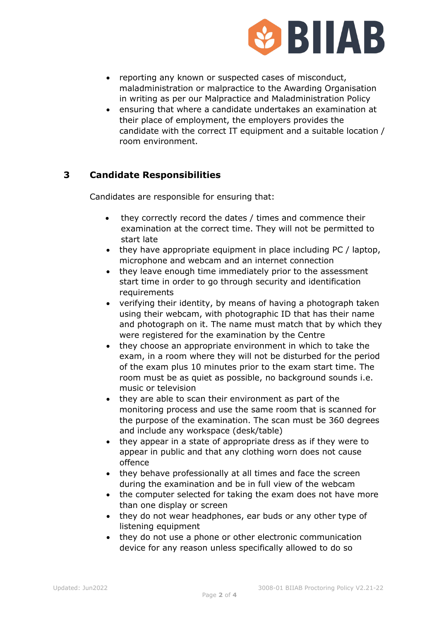

- reporting any known or suspected cases of misconduct, maladministration or malpractice to the Awarding Organisation in writing as per our Malpractice and Maladministration Policy
- ensuring that where a candidate undertakes an examination at their place of employment, the employers provides the candidate with the correct IT equipment and a suitable location / room environment.

# **3 Candidate Responsibilities**

Candidates are responsible for ensuring that:

- they correctly record the dates / times and commence their examination at the correct time. They will not be permitted to start late
- they have appropriate equipment in place including PC / laptop, microphone and webcam and an internet connection
- they leave enough time immediately prior to the assessment start time in order to go through security and identification requirements
- verifying their identity, by means of having a photograph taken using their webcam, with photographic ID that has their name and photograph on it. The name must match that by which they were registered for the examination by the Centre
- they choose an appropriate environment in which to take the exam, in a room where they will not be disturbed for the period of the exam plus 10 minutes prior to the exam start time. The room must be as quiet as possible, no background sounds i.e. music or television
- they are able to scan their environment as part of the monitoring process and use the same room that is scanned for the purpose of the examination. The scan must be 360 degrees and include any workspace (desk/table)
- they appear in a state of appropriate dress as if they were to appear in public and that any clothing worn does not cause offence
- they behave professionally at all times and face the screen during the examination and be in full view of the webcam
- the computer selected for taking the exam does not have more than one display or screen
- they do not wear headphones, ear buds or any other type of listening equipment
- they do not use a phone or other electronic communication device for any reason unless specifically allowed to do so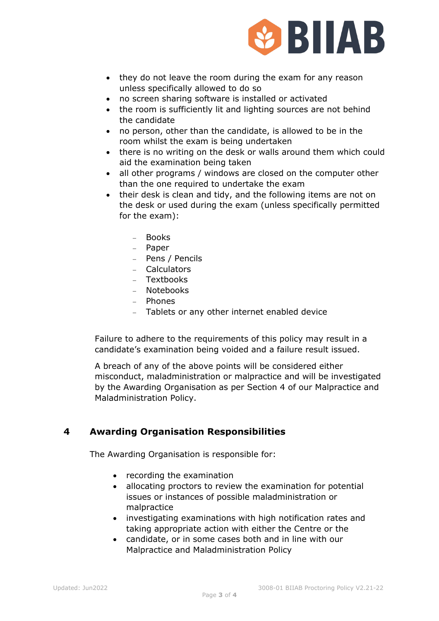

- they do not leave the room during the exam for any reason unless specifically allowed to do so
- no screen sharing software is installed or activated
- the room is sufficiently lit and lighting sources are not behind the candidate
- no person, other than the candidate, is allowed to be in the room whilst the exam is being undertaken
- there is no writing on the desk or walls around them which could aid the examination being taken
- all other programs / windows are closed on the computer other than the one required to undertake the exam
- their desk is clean and tidy, and the following items are not on the desk or used during the exam (unless specifically permitted for the exam):
	- − Books
	- − Paper
	- − Pens / Pencils
	- − Calculators
	- − Textbooks
	- − Notebooks
	- − Phones
	- − Tablets or any other internet enabled device

Failure to adhere to the requirements of this policy may result in a candidate's examination being voided and a failure result issued.

A breach of any of the above points will be considered either misconduct, maladministration or malpractice and will be investigated by the Awarding Organisation as per Section 4 of our Malpractice and Maladministration Policy.

### **4 Awarding Organisation Responsibilities**

The Awarding Organisation is responsible for:

- recording the examination
- allocating proctors to review the examination for potential issues or instances of possible maladministration or malpractice
- investigating examinations with high notification rates and taking appropriate action with either the Centre or the
- candidate, or in some cases both and in line with our Malpractice and Maladministration Policy